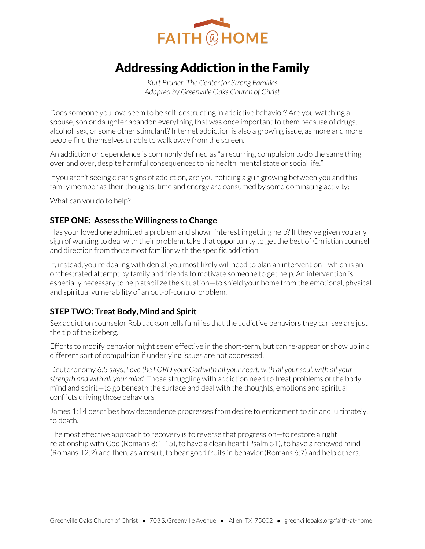

# Addressing Addiction in the Family

*Kurt Bruner, The Center for Strong Families Adapted by Greenville Oaks Church of Christ* 

Does someone you love seem to be self-destructing in addictive behavior? Are you watching a spouse, son or daughter abandon everything that was once important to them because of drugs, alcohol, sex, or some other stimulant? Internet addiction is also a growing issue, as more and more people find themselves unable to walk away from the screen.

An addiction or dependence is commonly defined as "a recurring compulsion to do the same thing over and over, despite harmful consequences to his health, mental state or social life."

If you aren't seeing clear signs of addiction, are you noticing a gulf growing between you and this family member as their thoughts, time and energy are consumed by some dominating activity?

What can you do to help?

### **STEP ONE: Assess the Willingness to Change**

Has your loved one admitted a problem and shown interest in getting help? If they've given you any sign of wanting to deal with their problem, take that opportunity to get the best of Christian counsel and direction from those most familiar with the specific addiction.

If, instead, you're dealing with denial, you most likely will need to plan an intervention—which is an orchestrated attempt by family and friends to motivate someone to get help. An intervention is especially necessary to help stabilize the situation—to shield your home from the emotional, physical and spiritual vulnerability of an out-of-control problem.

## **STEP TWO: Treat Body, Mind and Spirit**

Sex addiction counselor Rob Jackson tells families that the addictive behaviors they can see are just the tip of the iceberg.

Efforts to modify behavior might seem effective in the short-term, but can re-appear or show up in a different sort of compulsion if underlying issues are not addressed.

Deuteronomy 6:5 says, *Love the LORD your God with all your heart, with all your soul, with all your strength and with all your mind.* Those struggling with addiction need to treat problems of the body, mind and spirit—to go beneath the surface and deal with the thoughts, emotions and spiritual conflicts driving those behaviors.

James 1:14 describes how dependence progresses from desire to enticement to sin and, ultimately, to death.

The most effective approach to recovery is to reverse that progression—to restore a right relationship with God (Romans 8:1-15), to have a clean heart (Psalm 51), to have a renewed mind (Romans 12:2) and then, as a result, to bear good fruits in behavior (Romans 6:7) and help others.